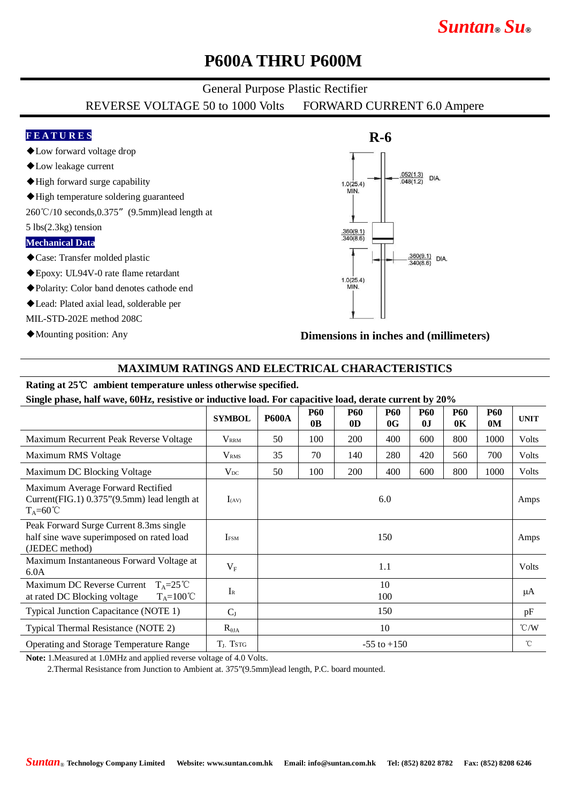# *Suntan***®** *Su***®**

### **P600A THRU P600M**

#### General Purpose Plastic Rectifier

REVERSE VOLTAGE 50 to 1000 Volts FORWARD CURRENT 6.0 Ampere

#### **F E A T U R E S**

- ◆Low forward voltage drop
- ◆Low leakage current
- ◆High forward surge capability
- ◆High temperature soldering guaranteed
- 260℃/10 seconds,0.375"(9.5mm)lead length at
- 5 lbs(2.3kg) tension

#### **Mechanical Data**

- ◆Case: Transfer molded plastic
- ◆Epoxy: UL94V-0 rate flame retardant
- ◆Polarity: Color band denotes cathode end
- ◆Lead: Plated axial lead, solderable per
- MIL-STD-202E method 208C
- ◆Mounting position: Any



**Dimensions in inches and (millimeters)**

#### **MAXIMUM RATINGS AND ELECTRICAL CHARACTERISTICS**

#### **Rating at 25**℃ **ambient temperature unless otherwise specified.**

**Single phase, half wave, 60Hz, resistive or inductive load. For capacitive load, derate current by 20%**

|                                                                                                               | <b>SYMBOL</b>           | <b>P600A</b>    | <b>P60</b><br>0 <sub>B</sub> | <b>P60</b><br>0 <sub>D</sub> | <b>P60</b><br>0G | <b>P60</b><br>0J | <b>P60</b><br>0 <sub>K</sub> | <b>P60</b><br>0 <sub>M</sub> | <b>UNIT</b>   |
|---------------------------------------------------------------------------------------------------------------|-------------------------|-----------------|------------------------------|------------------------------|------------------|------------------|------------------------------|------------------------------|---------------|
| Maximum Recurrent Peak Reverse Voltage                                                                        | <b>VRRM</b>             | 50              | 100                          | 200                          | 400              | 600              | 800                          | 1000                         | Volts         |
| Maximum RMS Voltage                                                                                           | <b>V</b> <sub>RMS</sub> | 35              | 70                           | 140                          | 280              | 420              | 560                          | 700                          | Volts         |
| Maximum DC Blocking Voltage                                                                                   | $V_{DC}$                | 50              | 100                          | 200                          | 400              | 600              | 800                          | 1000                         | Volts         |
| Maximum Average Forward Rectified<br>Current $(FIG.1)$ 0.375" $(9.5mm)$ lead length at<br>$T_A = 60^{\circ}C$ | $I_{(AV)}$              | 6.0             |                              |                              |                  |                  |                              |                              | Amps          |
| Peak Forward Surge Current 8.3ms single<br>half sine wave superimposed on rated load<br>(JEDEC method)        | <b>IFSM</b>             | 150             |                              |                              |                  |                  |                              |                              | Amps          |
| Maximum Instantaneous Forward Voltage at<br>6.0A                                                              | $V_F$                   | 1.1             |                              |                              |                  |                  |                              |                              | Volts         |
| Maximum DC Reverse Current<br>$T_A = 25^{\circ}C$<br>at rated DC Blocking voltage<br>$T_A = 100^{\circ}C$     | $I_{R}$                 | 10<br>100       |                              |                              |                  |                  |                              |                              | μA            |
| Typical Junction Capacitance (NOTE 1)                                                                         | $C_{J}$                 | 150             |                              |                              |                  |                  |                              |                              | pF            |
| Typical Thermal Resistance (NOTE 2)                                                                           | $R_{\theta JA}$         | 10              |                              |                              |                  |                  |                              |                              | $\degree$ C/W |
| Operating and Storage Temperature Range                                                                       | $T_{J}$ , Tstg          | $-55$ to $+150$ |                              |                              |                  |                  |                              |                              | °C            |

**Note:** 1.Measured at 1.0MHz and applied reverse voltage of 4.0 Volts.

2.Thermal Resistance from Junction to Ambient at. 375"(9.5mm)lead length, P.C. board mounted.